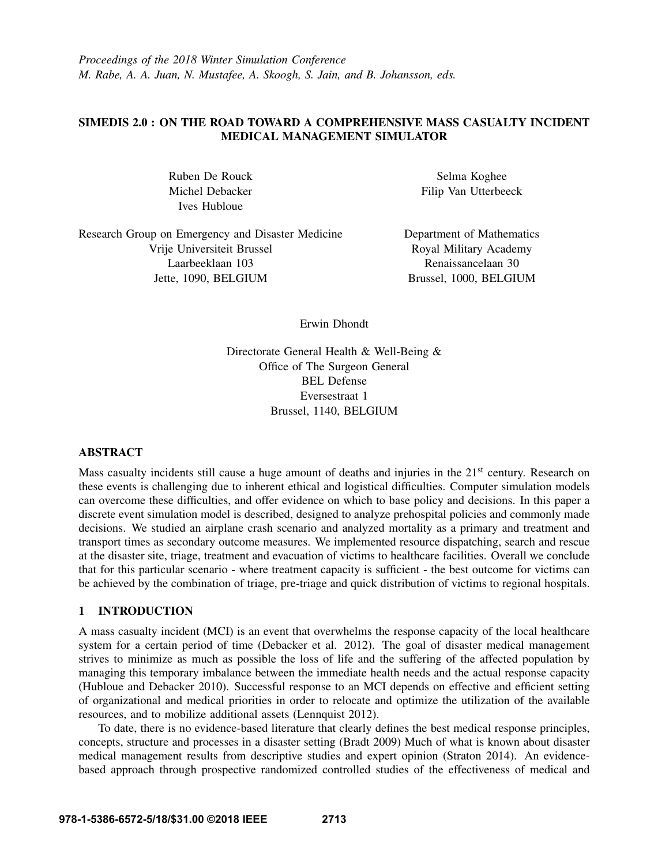*Proceedings of the 2018 Winter Simulation Conference M. Rabe, A. A. Juan, N. Mustafee, A. Skoogh, S. Jain, and B. Johansson, eds.*

# SIMEDIS 2.0 : ON THE ROAD TOWARD A COMPREHENSIVE MASS CASUALTY INCIDENT MEDICAL MANAGEMENT SIMULATOR

Ruben De Rouck Michel Debacker Ives Hubloue

Selma Koghee Filip Van Utterbeeck

Research Group on Emergency and Disaster Medicine Vrije Universiteit Brussel Laarbeeklaan 103 Jette, 1090, BELGIUM

Department of Mathematics Royal Military Academy Renaissancelaan 30 Brussel, 1000, BELGIUM

Erwin Dhondt

Directorate General Health & Well-Being & Office of The Surgeon General BEL Defense Eversestraat 1 Brussel, 1140, BELGIUM

### ABSTRACT

Mass casualty incidents still cause a huge amount of deaths and injuries in the 21<sup>st</sup> century. Research on these events is challenging due to inherent ethical and logistical difficulties. Computer simulation models can overcome these difficulties, and offer evidence on which to base policy and decisions. In this paper a discrete event simulation model is described, designed to analyze prehospital policies and commonly made decisions. We studied an airplane crash scenario and analyzed mortality as a primary and treatment and transport times as secondary outcome measures. We implemented resource dispatching, search and rescue at the disaster site, triage, treatment and evacuation of victims to healthcare facilities. Overall we conclude that for this particular scenario - where treatment capacity is sufficient - the best outcome for victims can be achieved by the combination of triage, pre-triage and quick distribution of victims to regional hospitals.

## 1 INTRODUCTION

A mass casualty incident (MCI) is an event that overwhelms the response capacity of the local healthcare system for a certain period of time (Debacker et al. 2012). The goal of disaster medical management strives to minimize as much as possible the loss of life and the suffering of the affected population by managing this temporary imbalance between the immediate health needs and the actual response capacity (Hubloue and Debacker 2010). Successful response to an MCI depends on effective and efficient setting of organizational and medical priorities in order to relocate and optimize the utilization of the available resources, and to mobilize additional assets (Lennquist 2012).

To date, there is no evidence-based literature that clearly defines the best medical response principles, concepts, structure and processes in a disaster setting (Bradt 2009) Much of what is known about disaster medical management results from descriptive studies and expert opinion (Straton 2014). An evidencebased approach through prospective randomized controlled studies of the effectiveness of medical and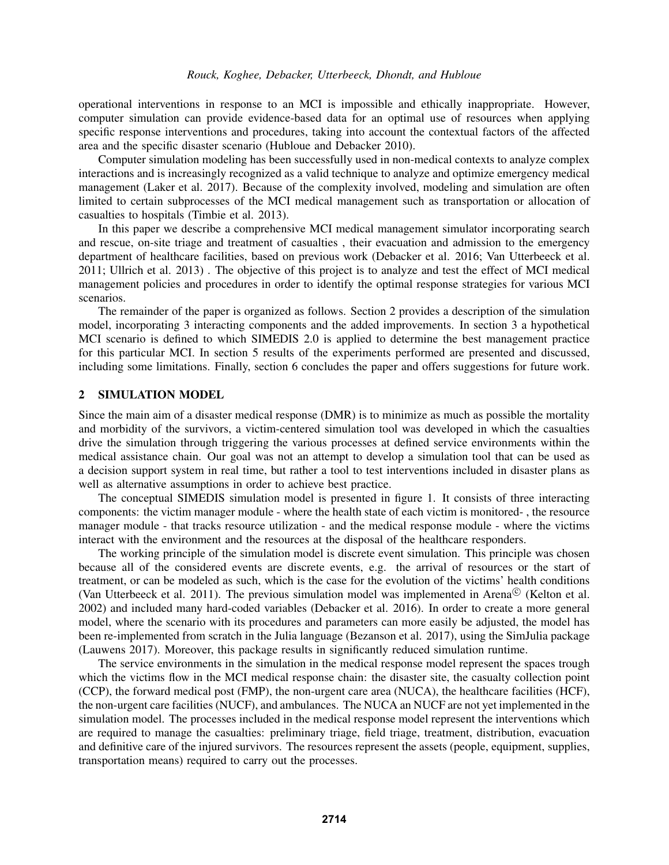operational interventions in response to an MCI is impossible and ethically inappropriate. However, computer simulation can provide evidence-based data for an optimal use of resources when applying specific response interventions and procedures, taking into account the contextual factors of the affected area and the specific disaster scenario (Hubloue and Debacker 2010).

Computer simulation modeling has been successfully used in non-medical contexts to analyze complex interactions and is increasingly recognized as a valid technique to analyze and optimize emergency medical management (Laker et al. 2017). Because of the complexity involved, modeling and simulation are often limited to certain subprocesses of the MCI medical management such as transportation or allocation of casualties to hospitals (Timbie et al. 2013).

In this paper we describe a comprehensive MCI medical management simulator incorporating search and rescue, on-site triage and treatment of casualties , their evacuation and admission to the emergency department of healthcare facilities, based on previous work (Debacker et al. 2016; Van Utterbeeck et al. 2011; Ullrich et al. 2013) . The objective of this project is to analyze and test the effect of MCI medical management policies and procedures in order to identify the optimal response strategies for various MCI scenarios.

The remainder of the paper is organized as follows. Section 2 provides a description of the simulation model, incorporating 3 interacting components and the added improvements. In section 3 a hypothetical MCI scenario is defined to which SIMEDIS 2.0 is applied to determine the best management practice for this particular MCI. In section 5 results of the experiments performed are presented and discussed, including some limitations. Finally, section 6 concludes the paper and offers suggestions for future work.

## 2 SIMULATION MODEL

Since the main aim of a disaster medical response (DMR) is to minimize as much as possible the mortality and morbidity of the survivors, a victim-centered simulation tool was developed in which the casualties drive the simulation through triggering the various processes at defined service environments within the medical assistance chain. Our goal was not an attempt to develop a simulation tool that can be used as a decision support system in real time, but rather a tool to test interventions included in disaster plans as well as alternative assumptions in order to achieve best practice.

The conceptual SIMEDIS simulation model is presented in figure 1. It consists of three interacting components: the victim manager module - where the health state of each victim is monitored- , the resource manager module - that tracks resource utilization - and the medical response module - where the victims interact with the environment and the resources at the disposal of the healthcare responders.

The working principle of the simulation model is discrete event simulation. This principle was chosen because all of the considered events are discrete events, e.g. the arrival of resources or the start of treatment, or can be modeled as such, which is the case for the evolution of the victims' health conditions (Van Utterbeeck et al. 2011). The previous simulation model was implemented in Arena<sup>©</sup> (Kelton et al. 2002) and included many hard-coded variables (Debacker et al. 2016). In order to create a more general model, where the scenario with its procedures and parameters can more easily be adjusted, the model has been re-implemented from scratch in the Julia language (Bezanson et al. 2017), using the SimJulia package (Lauwens 2017). Moreover, this package results in significantly reduced simulation runtime.

The service environments in the simulation in the medical response model represent the spaces trough which the victims flow in the MCI medical response chain: the disaster site, the casualty collection point (CCP), the forward medical post (FMP), the non-urgent care area (NUCA), the healthcare facilities (HCF), the non-urgent care facilities (NUCF), and ambulances. The NUCA an NUCF are not yet implemented in the simulation model. The processes included in the medical response model represent the interventions which are required to manage the casualties: preliminary triage, field triage, treatment, distribution, evacuation and definitive care of the injured survivors. The resources represent the assets (people, equipment, supplies, transportation means) required to carry out the processes.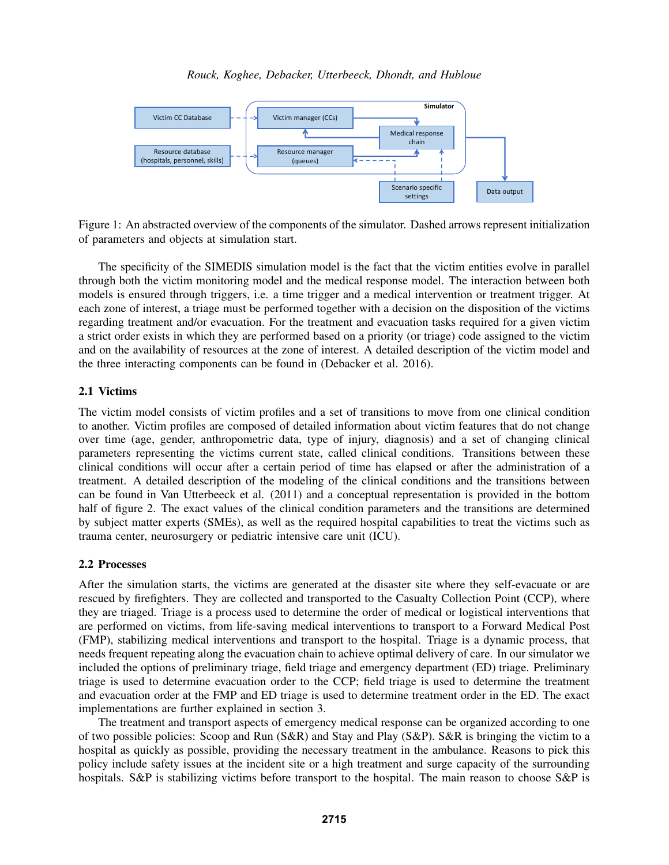

Figure 1: An abstracted overview of the components of the simulator. Dashed arrows represent initialization of parameters and objects at simulation start.

The specificity of the SIMEDIS simulation model is the fact that the victim entities evolve in parallel through both the victim monitoring model and the medical response model. The interaction between both models is ensured through triggers, i.e. a time trigger and a medical intervention or treatment trigger. At each zone of interest, a triage must be performed together with a decision on the disposition of the victims regarding treatment and/or evacuation. For the treatment and evacuation tasks required for a given victim a strict order exists in which they are performed based on a priority (or triage) code assigned to the victim and on the availability of resources at the zone of interest. A detailed description of the victim model and the three interacting components can be found in (Debacker et al. 2016).

# 2.1 Victims

The victim model consists of victim profiles and a set of transitions to move from one clinical condition to another. Victim profiles are composed of detailed information about victim features that do not change over time (age, gender, anthropometric data, type of injury, diagnosis) and a set of changing clinical parameters representing the victims current state, called clinical conditions. Transitions between these clinical conditions will occur after a certain period of time has elapsed or after the administration of a treatment. A detailed description of the modeling of the clinical conditions and the transitions between can be found in Van Utterbeeck et al. (2011) and a conceptual representation is provided in the bottom half of figure 2. The exact values of the clinical condition parameters and the transitions are determined by subject matter experts (SMEs), as well as the required hospital capabilities to treat the victims such as trauma center, neurosurgery or pediatric intensive care unit (ICU).

### 2.2 Processes

After the simulation starts, the victims are generated at the disaster site where they self-evacuate or are rescued by firefighters. They are collected and transported to the Casualty Collection Point (CCP), where they are triaged. Triage is a process used to determine the order of medical or logistical interventions that are performed on victims, from life-saving medical interventions to transport to a Forward Medical Post (FMP), stabilizing medical interventions and transport to the hospital. Triage is a dynamic process, that needs frequent repeating along the evacuation chain to achieve optimal delivery of care. In our simulator we included the options of preliminary triage, field triage and emergency department (ED) triage. Preliminary triage is used to determine evacuation order to the CCP; field triage is used to determine the treatment and evacuation order at the FMP and ED triage is used to determine treatment order in the ED. The exact implementations are further explained in section 3.

The treatment and transport aspects of emergency medical response can be organized according to one of two possible policies: Scoop and Run (S&R) and Stay and Play (S&P). S&R is bringing the victim to a hospital as quickly as possible, providing the necessary treatment in the ambulance. Reasons to pick this policy include safety issues at the incident site or a high treatment and surge capacity of the surrounding hospitals. S&P is stabilizing victims before transport to the hospital. The main reason to choose S&P is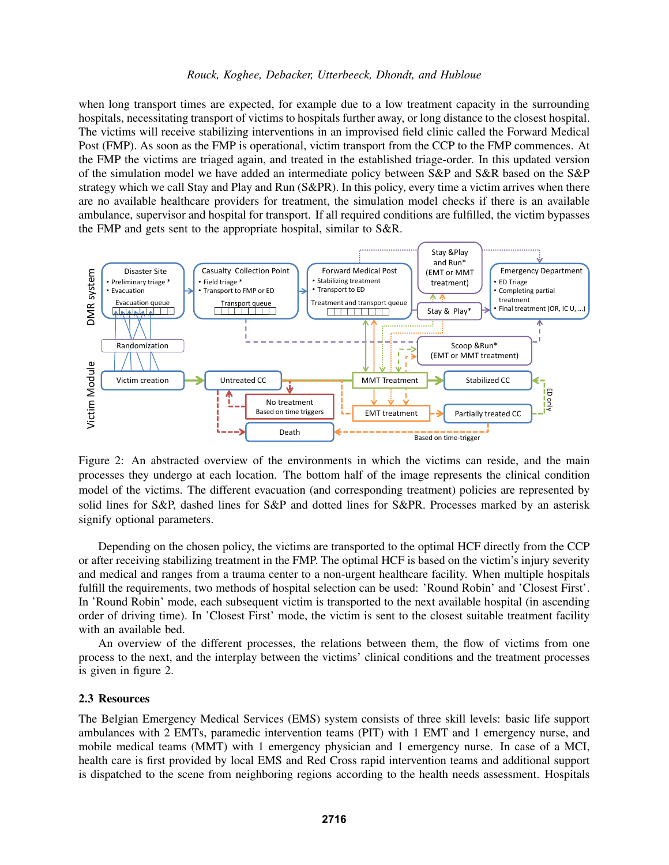when long transport times are expected, for example due to a low treatment capacity in the surrounding hospitals, necessitating transport of victims to hospitals further away, or long distance to the closest hospital. The victims will receive stabilizing interventions in an improvised field clinic called the Forward Medical Post (FMP). As soon as the FMP is operational, victim transport from the CCP to the FMP commences. At the FMP the victims are triaged again, and treated in the established triage-order. In this updated version of the simulation model we have added an intermediate policy between S&P and S&R based on the S&P strategy which we call Stay and Play and Run (S&PR). In this policy, every time a victim arrives when there are no available healthcare providers for treatment, the simulation model checks if there is an available ambulance, supervisor and hospital for transport. If all required conditions are fulfilled, the victim bypasses the FMP and gets sent to the appropriate hospital, similar to S&R.



Figure 2: An abstracted overview of the environments in which the victims can reside, and the main processes they undergo at each location. The bottom half of the image represents the clinical condition model of the victims. The different evacuation (and corresponding treatment) policies are represented by solid lines for S&P, dashed lines for S&P and dotted lines for S&PR. Processes marked by an asterisk signify optional parameters.

Depending on the chosen policy, the victims are transported to the optimal HCF directly from the CCP or after receiving stabilizing treatment in the FMP. The optimal HCF is based on the victim's injury severity and medical and ranges from a trauma center to a non-urgent healthcare facility. When multiple hospitals fulfill the requirements, two methods of hospital selection can be used: 'Round Robin' and 'Closest First'. In 'Round Robin' mode, each subsequent victim is transported to the next available hospital (in ascending order of driving time). In 'Closest First' mode, the victim is sent to the closest suitable treatment facility with an available bed.

An overview of the different processes, the relations between them, the flow of victims from one process to the next, and the interplay between the victims' clinical conditions and the treatment processes is given in figure 2.

### 2.3 Resources

The Belgian Emergency Medical Services (EMS) system consists of three skill levels: basic life support ambulances with 2 EMTs, paramedic intervention teams (PIT) with 1 EMT and 1 emergency nurse, and mobile medical teams (MMT) with 1 emergency physician and 1 emergency nurse. In case of a MCI, health care is first provided by local EMS and Red Cross rapid intervention teams and additional support is dispatched to the scene from neighboring regions according to the health needs assessment. Hospitals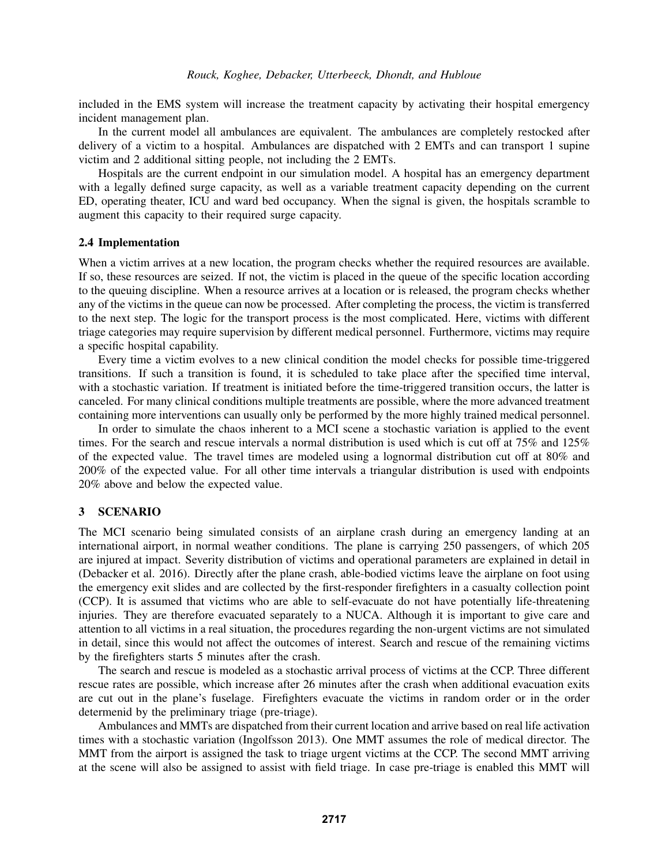included in the EMS system will increase the treatment capacity by activating their hospital emergency incident management plan.

In the current model all ambulances are equivalent. The ambulances are completely restocked after delivery of a victim to a hospital. Ambulances are dispatched with 2 EMTs and can transport 1 supine victim and 2 additional sitting people, not including the 2 EMTs.

Hospitals are the current endpoint in our simulation model. A hospital has an emergency department with a legally defined surge capacity, as well as a variable treatment capacity depending on the current ED, operating theater, ICU and ward bed occupancy. When the signal is given, the hospitals scramble to augment this capacity to their required surge capacity.

### 2.4 Implementation

When a victim arrives at a new location, the program checks whether the required resources are available. If so, these resources are seized. If not, the victim is placed in the queue of the specific location according to the queuing discipline. When a resource arrives at a location or is released, the program checks whether any of the victims in the queue can now be processed. After completing the process, the victim is transferred to the next step. The logic for the transport process is the most complicated. Here, victims with different triage categories may require supervision by different medical personnel. Furthermore, victims may require a specific hospital capability.

Every time a victim evolves to a new clinical condition the model checks for possible time-triggered transitions. If such a transition is found, it is scheduled to take place after the specified time interval, with a stochastic variation. If treatment is initiated before the time-triggered transition occurs, the latter is canceled. For many clinical conditions multiple treatments are possible, where the more advanced treatment containing more interventions can usually only be performed by the more highly trained medical personnel.

In order to simulate the chaos inherent to a MCI scene a stochastic variation is applied to the event times. For the search and rescue intervals a normal distribution is used which is cut off at 75% and 125% of the expected value. The travel times are modeled using a lognormal distribution cut off at 80% and 200% of the expected value. For all other time intervals a triangular distribution is used with endpoints 20% above and below the expected value.

# 3 SCENARIO

The MCI scenario being simulated consists of an airplane crash during an emergency landing at an international airport, in normal weather conditions. The plane is carrying 250 passengers, of which 205 are injured at impact. Severity distribution of victims and operational parameters are explained in detail in (Debacker et al. 2016). Directly after the plane crash, able-bodied victims leave the airplane on foot using the emergency exit slides and are collected by the first-responder firefighters in a casualty collection point (CCP). It is assumed that victims who are able to self-evacuate do not have potentially life-threatening injuries. They are therefore evacuated separately to a NUCA. Although it is important to give care and attention to all victims in a real situation, the procedures regarding the non-urgent victims are not simulated in detail, since this would not affect the outcomes of interest. Search and rescue of the remaining victims by the firefighters starts 5 minutes after the crash.

The search and rescue is modeled as a stochastic arrival process of victims at the CCP. Three different rescue rates are possible, which increase after 26 minutes after the crash when additional evacuation exits are cut out in the plane's fuselage. Firefighters evacuate the victims in random order or in the order determenid by the preliminary triage (pre-triage).

Ambulances and MMTs are dispatched from their current location and arrive based on real life activation times with a stochastic variation (Ingolfsson 2013). One MMT assumes the role of medical director. The MMT from the airport is assigned the task to triage urgent victims at the CCP. The second MMT arriving at the scene will also be assigned to assist with field triage. In case pre-triage is enabled this MMT will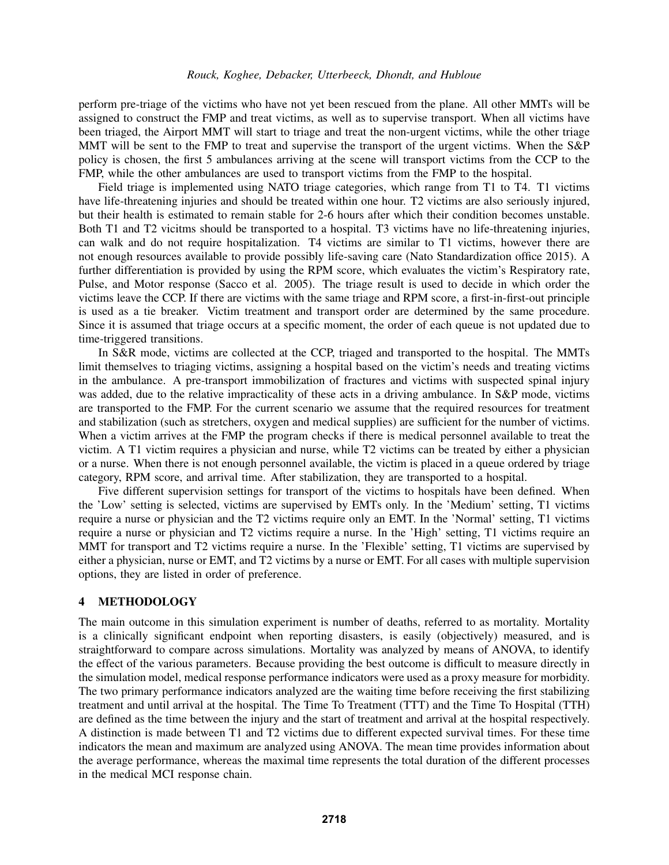perform pre-triage of the victims who have not yet been rescued from the plane. All other MMTs will be assigned to construct the FMP and treat victims, as well as to supervise transport. When all victims have been triaged, the Airport MMT will start to triage and treat the non-urgent victims, while the other triage MMT will be sent to the FMP to treat and supervise the transport of the urgent victims. When the S&P policy is chosen, the first 5 ambulances arriving at the scene will transport victims from the CCP to the FMP, while the other ambulances are used to transport victims from the FMP to the hospital.

Field triage is implemented using NATO triage categories, which range from T1 to T4. T1 victims have life-threatening injuries and should be treated within one hour. T2 victims are also seriously injured, but their health is estimated to remain stable for 2-6 hours after which their condition becomes unstable. Both T1 and T2 vicitms should be transported to a hospital. T3 victims have no life-threatening injuries, can walk and do not require hospitalization. T4 victims are similar to T1 victims, however there are not enough resources available to provide possibly life-saving care (Nato Standardization office 2015). A further differentiation is provided by using the RPM score, which evaluates the victim's Respiratory rate, Pulse, and Motor response (Sacco et al. 2005). The triage result is used to decide in which order the victims leave the CCP. If there are victims with the same triage and RPM score, a first-in-first-out principle is used as a tie breaker. Victim treatment and transport order are determined by the same procedure. Since it is assumed that triage occurs at a specific moment, the order of each queue is not updated due to time-triggered transitions.

In S&R mode, victims are collected at the CCP, triaged and transported to the hospital. The MMTs limit themselves to triaging victims, assigning a hospital based on the victim's needs and treating victims in the ambulance. A pre-transport immobilization of fractures and victims with suspected spinal injury was added, due to the relative impracticality of these acts in a driving ambulance. In S&P mode, victims are transported to the FMP. For the current scenario we assume that the required resources for treatment and stabilization (such as stretchers, oxygen and medical supplies) are sufficient for the number of victims. When a victim arrives at the FMP the program checks if there is medical personnel available to treat the victim. A T1 victim requires a physician and nurse, while T2 victims can be treated by either a physician or a nurse. When there is not enough personnel available, the victim is placed in a queue ordered by triage category, RPM score, and arrival time. After stabilization, they are transported to a hospital.

Five different supervision settings for transport of the victims to hospitals have been defined. When the 'Low' setting is selected, victims are supervised by EMTs only. In the 'Medium' setting, T1 victims require a nurse or physician and the T2 victims require only an EMT. In the 'Normal' setting, T1 victims require a nurse or physician and T2 victims require a nurse. In the 'High' setting, T1 victims require an MMT for transport and T2 victims require a nurse. In the 'Flexible' setting, T1 victims are supervised by either a physician, nurse or EMT, and T2 victims by a nurse or EMT. For all cases with multiple supervision options, they are listed in order of preference.

## 4 METHODOLOGY

The main outcome in this simulation experiment is number of deaths, referred to as mortality. Mortality is a clinically significant endpoint when reporting disasters, is easily (objectively) measured, and is straightforward to compare across simulations. Mortality was analyzed by means of ANOVA, to identify the effect of the various parameters. Because providing the best outcome is difficult to measure directly in the simulation model, medical response performance indicators were used as a proxy measure for morbidity. The two primary performance indicators analyzed are the waiting time before receiving the first stabilizing treatment and until arrival at the hospital. The Time To Treatment (TTT) and the Time To Hospital (TTH) are defined as the time between the injury and the start of treatment and arrival at the hospital respectively. A distinction is made between T1 and T2 victims due to different expected survival times. For these time indicators the mean and maximum are analyzed using ANOVA. The mean time provides information about the average performance, whereas the maximal time represents the total duration of the different processes in the medical MCI response chain.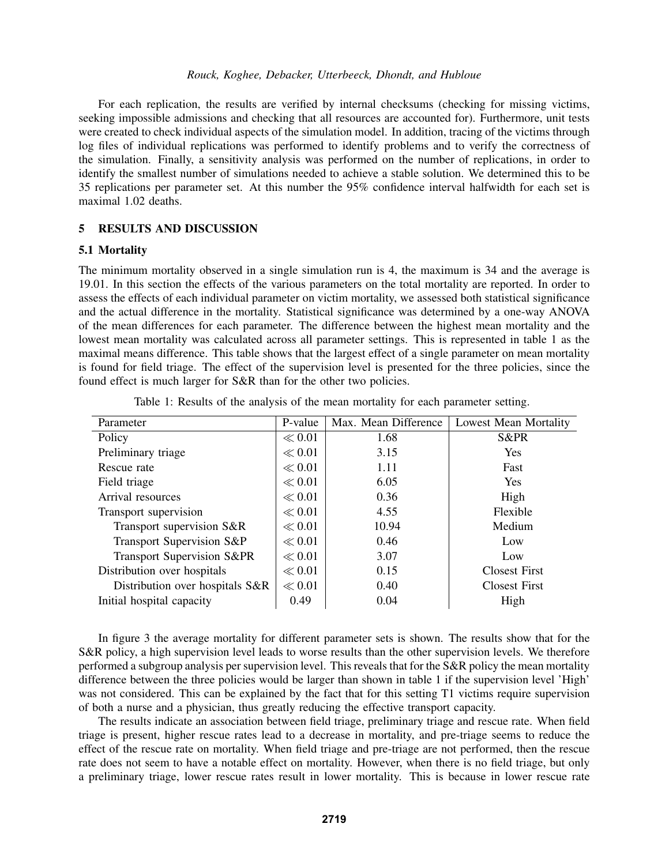For each replication, the results are verified by internal checksums (checking for missing victims, seeking impossible admissions and checking that all resources are accounted for). Furthermore, unit tests were created to check individual aspects of the simulation model. In addition, tracing of the victims through log files of individual replications was performed to identify problems and to verify the correctness of the simulation. Finally, a sensitivity analysis was performed on the number of replications, in order to identify the smallest number of simulations needed to achieve a stable solution. We determined this to be 35 replications per parameter set. At this number the 95% confidence interval halfwidth for each set is maximal 1.02 deaths.

# 5 RESULTS AND DISCUSSION

## 5.1 Mortality

The minimum mortality observed in a single simulation run is 4, the maximum is 34 and the average is 19.01. In this section the effects of the various parameters on the total mortality are reported. In order to assess the effects of each individual parameter on victim mortality, we assessed both statistical significance and the actual difference in the mortality. Statistical significance was determined by a one-way ANOVA of the mean differences for each parameter. The difference between the highest mean mortality and the lowest mean mortality was calculated across all parameter settings. This is represented in table 1 as the maximal means difference. This table shows that the largest effect of a single parameter on mean mortality is found for field triage. The effect of the supervision level is presented for the three policies, since the found effect is much larger for S&R than for the other two policies.

| Parameter                       | P-value    | Max. Mean Difference | <b>Lowest Mean Mortality</b> |
|---------------------------------|------------|----------------------|------------------------------|
| Policy                          | $\ll 0.01$ | 1.68                 | S&PR                         |
| Preliminary triage              | $\ll 0.01$ | 3.15                 | <b>Yes</b>                   |
| Rescue rate                     | $\ll 0.01$ | 1.11                 | Fast                         |
| Field triage                    | $\ll 0.01$ | 6.05                 | <b>Yes</b>                   |
| Arrival resources               | $\ll 0.01$ | 0.36                 | High                         |
| Transport supervision           | $\ll 0.01$ | 4.55                 | Flexible                     |
| Transport supervision S&R       | $\ll 0.01$ | 10.94                | Medium                       |
| Transport Supervision S&P       | $\ll 0.01$ | 0.46                 | Low                          |
| Transport Supervision S&PR      | $\ll 0.01$ | 3.07                 | Low                          |
| Distribution over hospitals     | $\ll 0.01$ | 0.15                 | <b>Closest First</b>         |
| Distribution over hospitals S&R | $\ll 0.01$ | 0.40                 | <b>Closest First</b>         |
| Initial hospital capacity       | 0.49       | 0.04                 | High                         |

Table 1: Results of the analysis of the mean mortality for each parameter setting.

In figure 3 the average mortality for different parameter sets is shown. The results show that for the S&R policy, a high supervision level leads to worse results than the other supervision levels. We therefore performed a subgroup analysis per supervision level. This reveals that for the S&R policy the mean mortality difference between the three policies would be larger than shown in table 1 if the supervision level 'High' was not considered. This can be explained by the fact that for this setting T1 victims require supervision of both a nurse and a physician, thus greatly reducing the effective transport capacity.

The results indicate an association between field triage, preliminary triage and rescue rate. When field triage is present, higher rescue rates lead to a decrease in mortality, and pre-triage seems to reduce the effect of the rescue rate on mortality. When field triage and pre-triage are not performed, then the rescue rate does not seem to have a notable effect on mortality. However, when there is no field triage, but only a preliminary triage, lower rescue rates result in lower mortality. This is because in lower rescue rate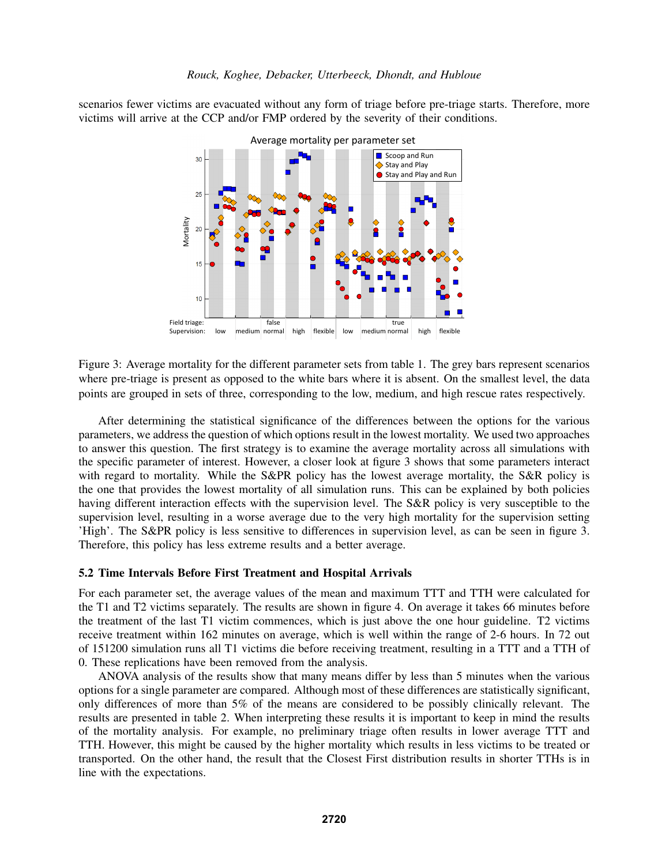scenarios fewer victims are evacuated without any form of triage before pre-triage starts. Therefore, more victims will arrive at the CCP and/or FMP ordered by the severity of their conditions.



Figure 3: Average mortality for the different parameter sets from table 1. The grey bars represent scenarios where pre-triage is present as opposed to the white bars where it is absent. On the smallest level, the data points are grouped in sets of three, corresponding to the low, medium, and high rescue rates respectively.

After determining the statistical significance of the differences between the options for the various parameters, we address the question of which options result in the lowest mortality. We used two approaches to answer this question. The first strategy is to examine the average mortality across all simulations with the specific parameter of interest. However, a closer look at figure 3 shows that some parameters interact with regard to mortality. While the S&PR policy has the lowest average mortality, the S&R policy is the one that provides the lowest mortality of all simulation runs. This can be explained by both policies having different interaction effects with the supervision level. The S&R policy is very susceptible to the supervision level, resulting in a worse average due to the very high mortality for the supervision setting 'High'. The S&PR policy is less sensitive to differences in supervision level, as can be seen in figure 3. Therefore, this policy has less extreme results and a better average.

#### 5.2 Time Intervals Before First Treatment and Hospital Arrivals

For each parameter set, the average values of the mean and maximum TTT and TTH were calculated for the T1 and T2 victims separately. The results are shown in figure 4. On average it takes 66 minutes before the treatment of the last T1 victim commences, which is just above the one hour guideline. T2 victims receive treatment within 162 minutes on average, which is well within the range of 2-6 hours. In 72 out of 151200 simulation runs all T1 victims die before receiving treatment, resulting in a TTT and a TTH of 0. These replications have been removed from the analysis.

ANOVA analysis of the results show that many means differ by less than 5 minutes when the various options for a single parameter are compared. Although most of these differences are statistically significant, only differences of more than 5% of the means are considered to be possibly clinically relevant. The results are presented in table 2. When interpreting these results it is important to keep in mind the results of the mortality analysis. For example, no preliminary triage often results in lower average TTT and TTH. However, this might be caused by the higher mortality which results in less victims to be treated or transported. On the other hand, the result that the Closest First distribution results in shorter TTHs is in line with the expectations.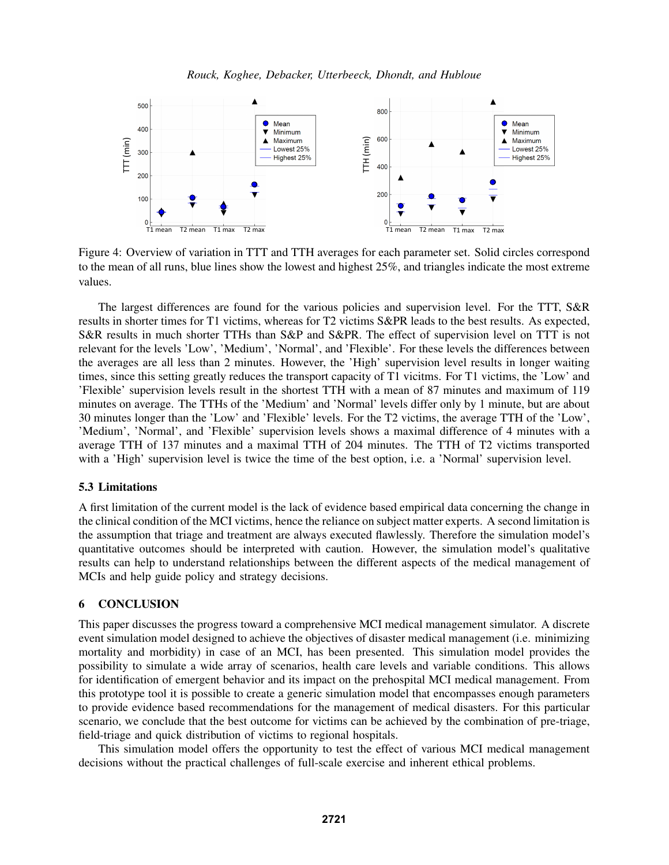

Figure 4: Overview of variation in TTT and TTH averages for each parameter set. Solid circles correspond to the mean of all runs, blue lines show the lowest and highest 25%, and triangles indicate the most extreme values.

The largest differences are found for the various policies and supervision level. For the TTT, S&R results in shorter times for T1 victims, whereas for T2 victims S&PR leads to the best results. As expected, S&R results in much shorter TTHs than S&P and S&PR. The effect of supervision level on TTT is not relevant for the levels 'Low', 'Medium', 'Normal', and 'Flexible'. For these levels the differences between the averages are all less than 2 minutes. However, the 'High' supervision level results in longer waiting times, since this setting greatly reduces the transport capacity of T1 vicitms. For T1 victims, the 'Low' and 'Flexible' supervision levels result in the shortest TTH with a mean of 87 minutes and maximum of 119 minutes on average. The TTHs of the 'Medium' and 'Normal' levels differ only by 1 minute, but are about 30 minutes longer than the 'Low' and 'Flexible' levels. For the T2 victims, the average TTH of the 'Low', 'Medium', 'Normal', and 'Flexible' supervision levels shows a maximal difference of 4 minutes with a average TTH of 137 minutes and a maximal TTH of 204 minutes. The TTH of T2 victims transported with a 'High' supervision level is twice the time of the best option, i.e. a 'Normal' supervision level.

### 5.3 Limitations

A first limitation of the current model is the lack of evidence based empirical data concerning the change in the clinical condition of the MCI victims, hence the reliance on subject matter experts. A second limitation is the assumption that triage and treatment are always executed flawlessly. Therefore the simulation model's quantitative outcomes should be interpreted with caution. However, the simulation model's qualitative results can help to understand relationships between the different aspects of the medical management of MCIs and help guide policy and strategy decisions.

### 6 CONCLUSION

This paper discusses the progress toward a comprehensive MCI medical management simulator. A discrete event simulation model designed to achieve the objectives of disaster medical management (i.e. minimizing mortality and morbidity) in case of an MCI, has been presented. This simulation model provides the possibility to simulate a wide array of scenarios, health care levels and variable conditions. This allows for identification of emergent behavior and its impact on the prehospital MCI medical management. From this prototype tool it is possible to create a generic simulation model that encompasses enough parameters to provide evidence based recommendations for the management of medical disasters. For this particular scenario, we conclude that the best outcome for victims can be achieved by the combination of pre-triage, field-triage and quick distribution of victims to regional hospitals.

This simulation model offers the opportunity to test the effect of various MCI medical management decisions without the practical challenges of full-scale exercise and inherent ethical problems.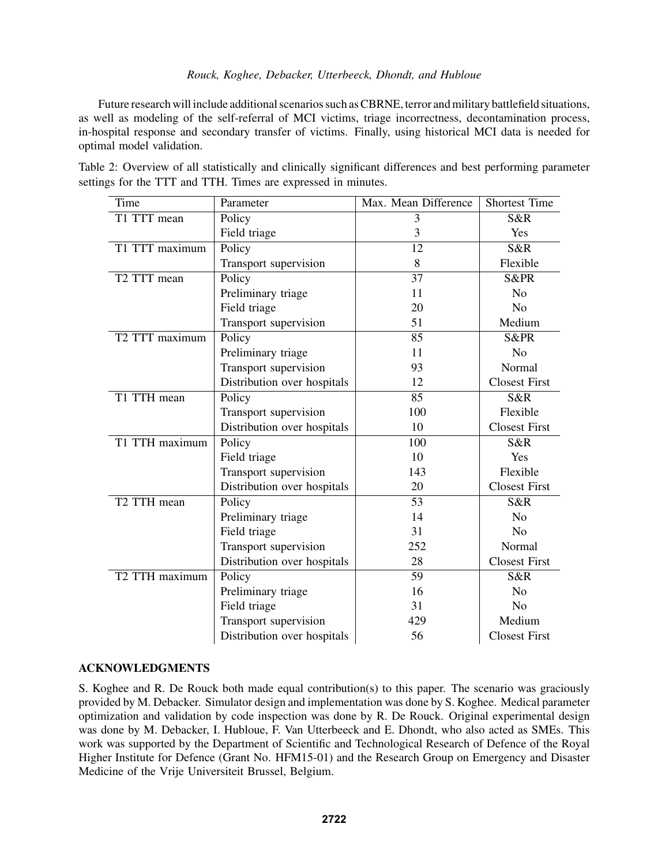Future research will include additional scenarios such as CBRNE, terror and military battlefield situations, as well as modeling of the self-referral of MCI victims, triage incorrectness, decontamination process, in-hospital response and secondary transfer of victims. Finally, using historical MCI data is needed for optimal model validation.

| Table 2: Overview of all statistically and clinically significant differences and best performing parameter |  |  |  |  |
|-------------------------------------------------------------------------------------------------------------|--|--|--|--|
| settings for the TTT and TTH. Times are expressed in minutes.                                               |  |  |  |  |

| Time           | Parameter                   | Max. Mean Difference | <b>Shortest Time</b> |
|----------------|-----------------------------|----------------------|----------------------|
| T1 TTT mean    | Policy                      | 3                    | S&R                  |
|                | Field triage                | 3                    | Yes                  |
| T1 TTT maximum | Policy                      | 12                   | S&R                  |
|                | Transport supervision       | 8                    | Flexible             |
| T2 TTT mean    | Policy                      | 37                   | <b>S&amp;PR</b>      |
|                | Preliminary triage          | 11                   | N <sub>o</sub>       |
|                | Field triage                | 20                   | N <sub>o</sub>       |
|                | Transport supervision       | 51                   | Medium               |
| T2 TTT maximum | Policy                      | 85                   | <b>S&amp;PR</b>      |
|                | Preliminary triage          | 11                   | No                   |
|                | Transport supervision       | 93                   | Normal               |
|                | Distribution over hospitals | 12                   | <b>Closest First</b> |
| T1 TTH mean    | Policy                      | 85                   | S&R                  |
|                | Transport supervision       | 100                  | Flexible             |
|                | Distribution over hospitals | 10                   | <b>Closest First</b> |
| T1 TTH maximum | Policy                      | 100                  | S&R                  |
|                | Field triage                | 10                   | Yes                  |
|                | Transport supervision       | 143                  | Flexible             |
|                | Distribution over hospitals | 20                   | <b>Closest First</b> |
| T2 TTH mean    | Policy                      | 53                   | S&R                  |
|                | Preliminary triage          | 14                   | N <sub>0</sub>       |
|                | Field triage                | 31                   | N <sub>o</sub>       |
|                | Transport supervision       | 252                  | Normal               |
|                | Distribution over hospitals | 28                   | <b>Closest First</b> |
| T2 TTH maximum | Policy                      | 59                   | S&R                  |
|                | Preliminary triage          | 16                   | N <sub>o</sub>       |
|                | Field triage                | 31                   | N <sub>o</sub>       |
|                | Transport supervision       | 429                  | Medium               |
|                | Distribution over hospitals | 56                   | <b>Closest First</b> |

# ACKNOWLEDGMENTS

S. Koghee and R. De Rouck both made equal contribution(s) to this paper. The scenario was graciously provided by M. Debacker. Simulator design and implementation was done by S. Koghee. Medical parameter optimization and validation by code inspection was done by R. De Rouck. Original experimental design was done by M. Debacker, I. Hubloue, F. Van Utterbeeck and E. Dhondt, who also acted as SMEs. This work was supported by the Department of Scientific and Technological Research of Defence of the Royal Higher Institute for Defence (Grant No. HFM15-01) and the Research Group on Emergency and Disaster Medicine of the Vrije Universiteit Brussel, Belgium.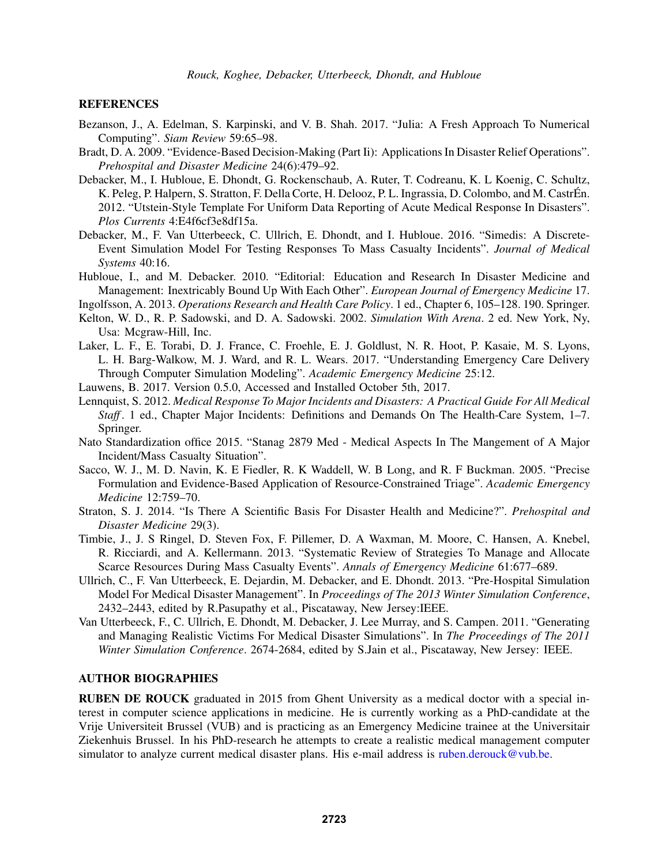## **REFERENCES**

- Bezanson, J., A. Edelman, S. Karpinski, and V. B. Shah. 2017. "Julia: A Fresh Approach To Numerical Computing". *Siam Review* 59:65–98.
- Bradt, D. A. 2009. "Evidence-Based Decision-Making (Part Ii): Applications In Disaster Relief Operations". *Prehospital and Disaster Medicine* 24(6):479–92.
- Debacker, M., I. Hubloue, E. Dhondt, G. Rockenschaub, A. Ruter, T. Codreanu, K. L Koenig, C. Schultz, K. Peleg, P. Halpern, S. Stratton, F. Della Corte, H. Delooz, P. L. Ingrassia, D. Colombo, and M. CastrÉn. 2012. "Utstein-Style Template For Uniform Data Reporting of Acute Medical Response In Disasters". *Plos Currents* 4:E4f6cf3e8df15a.
- Debacker, M., F. Van Utterbeeck, C. Ullrich, E. Dhondt, and I. Hubloue. 2016. "Simedis: A Discrete-Event Simulation Model For Testing Responses To Mass Casualty Incidents". *Journal of Medical Systems* 40:16.
- Hubloue, I., and M. Debacker. 2010. "Editorial: Education and Research In Disaster Medicine and Management: Inextricably Bound Up With Each Other". *European Journal of Emergency Medicine* 17.
- Ingolfsson, A. 2013. *Operations Research and Health Care Policy*. 1 ed., Chapter 6, 105–128. 190. Springer.
- Kelton, W. D., R. P. Sadowski, and D. A. Sadowski. 2002. *Simulation With Arena*. 2 ed. New York, Ny, Usa: Mcgraw-Hill, Inc.
- Laker, L. F., E. Torabi, D. J. France, C. Froehle, E. J. Goldlust, N. R. Hoot, P. Kasaie, M. S. Lyons, L. H. Barg-Walkow, M. J. Ward, and R. L. Wears. 2017. "Understanding Emergency Care Delivery Through Computer Simulation Modeling". *Academic Emergency Medicine* 25:12.
- Lauwens, B. 2017. Version 0.5.0, Accessed and Installed October 5th, 2017.
- Lennquist, S. 2012. *Medical Response To Major Incidents and Disasters: A Practical Guide For All Medical Staff* . 1 ed., Chapter Major Incidents: Definitions and Demands On The Health-Care System, 1–7. Springer.
- Nato Standardization office 2015. "Stanag 2879 Med Medical Aspects In The Mangement of A Major Incident/Mass Casualty Situation".
- Sacco, W. J., M. D. Navin, K. E Fiedler, R. K Waddell, W. B Long, and R. F Buckman. 2005. "Precise Formulation and Evidence-Based Application of Resource-Constrained Triage". *Academic Emergency Medicine* 12:759–70.
- Straton, S. J. 2014. "Is There A Scientific Basis For Disaster Health and Medicine?". *Prehospital and Disaster Medicine* 29(3).
- Timbie, J., J. S Ringel, D. Steven Fox, F. Pillemer, D. A Waxman, M. Moore, C. Hansen, A. Knebel, R. Ricciardi, and A. Kellermann. 2013. "Systematic Review of Strategies To Manage and Allocate Scarce Resources During Mass Casualty Events". *Annals of Emergency Medicine* 61:677–689.
- Ullrich, C., F. Van Utterbeeck, E. Dejardin, M. Debacker, and E. Dhondt. 2013. "Pre-Hospital Simulation Model For Medical Disaster Management". In *Proceedings of The 2013 Winter Simulation Conference*, 2432–2443, edited by R.Pasupathy et al., Piscataway, New Jersey:IEEE.
- Van Utterbeeck, F., C. Ullrich, E. Dhondt, M. Debacker, J. Lee Murray, and S. Campen. 2011. "Generating and Managing Realistic Victims For Medical Disaster Simulations". In *The Proceedings of The 2011 Winter Simulation Conference*. 2674-2684, edited by S.Jain et al., Piscataway, New Jersey: IEEE.

# AUTHOR BIOGRAPHIES

RUBEN DE ROUCK graduated in 2015 from Ghent University as a medical doctor with a special interest in computer science applications in medicine. He is currently working as a PhD-candidate at the Vrije Universiteit Brussel (VUB) and is practicing as an Emergency Medicine trainee at the Universitair Ziekenhuis Brussel. In his PhD-research he attempts to create a realistic medical management computer simulator to analyze current medical disaster plans. His e-mail address is ruben.derouck@vub.be.